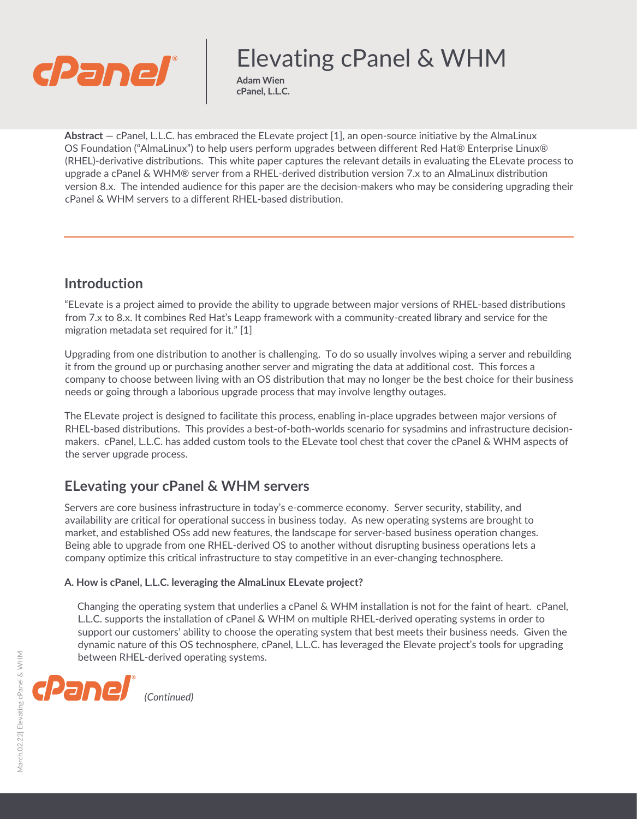

# Elevating cPanel & WHM

**Adam Wien cPanel, L.L.C.** 

**Abstract** — cPanel, L.L.C. has embraced the ELevate project [1], an open-source initiative by the AlmaLinux OS Foundation ("AlmaLinux") to help users perform upgrades between different Red Hat® Enterprise Linux® (RHEL)-derivative distributions. This white paper captures the relevant details in evaluating the ELevate process to upgrade a cPanel & WHM® server from a RHEL-derived distribution version 7.x to an AlmaLinux distribution version 8.x. The intended audience for this paper are the decision-makers who may be considering upgrading their cPanel & WHM servers to a different RHEL-based distribution.

## **Introduction**

"ELevate is a project aimed to provide the ability to upgrade between major versions of RHEL-based distributions from 7.x to 8.x. It combines Red Hat's Leapp framework with a community-created library and service for the migration metadata set required for it." [1]

Upgrading from one distribution to another is challenging. To do so usually involves wiping a server and rebuilding it from the ground up or purchasing another server and migrating the data at additional cost. This forces a company to choose between living with an OS distribution that may no longer be the best choice for their business needs or going through a laborious upgrade process that may involve lengthy outages.

The ELevate project is designed to facilitate this process, enabling in-place upgrades between major versions of RHEL-based distributions. This provides a best-of-both-worlds scenario for sysadmins and infrastructure decisionmakers. cPanel, L.L.C. has added custom tools to the ELevate tool chest that cover the cPanel & WHM aspects of the server upgrade process.

## **ELevating your cPanel & WHM servers**

Servers are core business infrastructure in today's e-commerce economy. Server security, stability, and availability are critical for operational success in business today. As new operating systems are brought to market, and established OSs add new features, the landscape for server-based business operation changes. Being able to upgrade from one RHEL-derived OS to another without disrupting business operations lets a company optimize this critical infrastructure to stay competitive in an ever-changing technosphere.

#### **A. How is cPanel, L.L.C. leveraging the AlmaLinux ELevate project?**

Changing the operating system that underlies a cPanel & WHM installation is not for the faint of heart. cPanel, L.L.C. supports the installation of cPanel & WHM on multiple RHEL-derived operating systems in order to support our customers' ability to choose the operating system that best meets their business needs. Given the dynamic nature of this OS technosphere, cPanel, L.L.C. has leveraged the Elevate project's tools for upgrading between RHEL-derived operating systems.

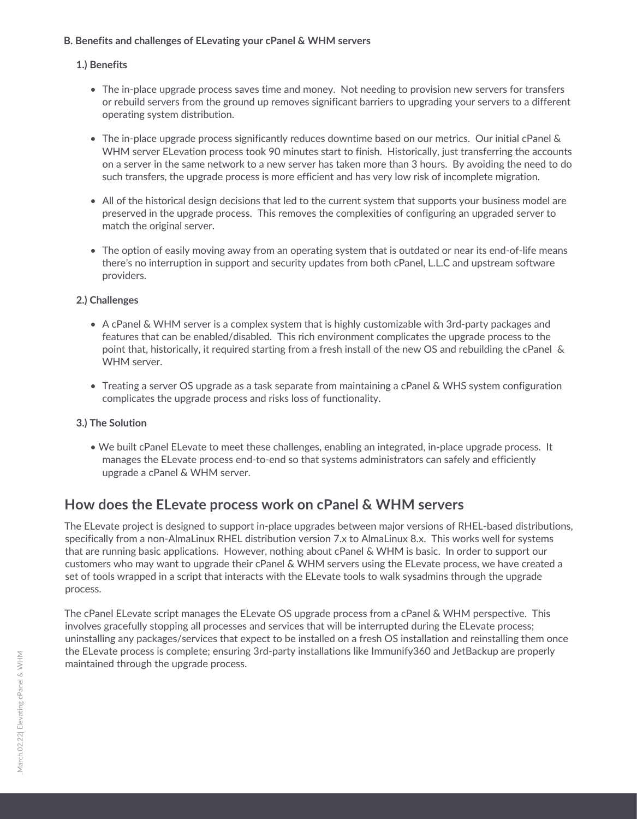#### **B. Benefits and challenges of ELevating your cPanel & WHM servers**

#### **1.) Benefits**

- The in-place upgrade process saves time and money. Not needing to provision new servers for transfers or rebuild servers from the ground up removes significant barriers to upgrading your servers to a different operating system distribution.
- The in-place upgrade process significantly reduces downtime based on our metrics. Our initial cPanel & WHM server ELevation process took 90 minutes start to finish. Historically, just transferring the accounts on a server in the same network to a new server has taken more than 3 hours. By avoiding the need to do such transfers, the upgrade process is more efficient and has very low risk of incomplete migration.
- All of the historical design decisions that led to the current system that supports your business model are preserved in the upgrade process. This removes the complexities of configuring an upgraded server to match the original server.
- The option of easily moving away from an operating system that is outdated or near its end-of-life means there's no interruption in support and security updates from both cPanel, L.L.C and upstream software providers.

#### **2.) Challenges**

- A cPanel & WHM server is a complex system that is highly customizable with 3rd-party packages and features that can be enabled/disabled. This rich environment complicates the upgrade process to the point that, historically, it required starting from a fresh install of the new OS and rebuilding the cPanel & WHM server.
- Treating a server OS upgrade as a task separate from maintaining a cPanel & WHS system configuration complicates the upgrade process and risks loss of functionality.

#### **3.) The Solution**

• We built cPanel ELevate to meet these challenges, enabling an integrated, in-place upgrade process. It manages the ELevate process end-to-end so that systems administrators can safely and efficiently upgrade a cPanel & WHM server.

### **How does the ELevate process work on cPanel & WHM servers**

The ELevate project is designed to support in-place upgrades between major versions of RHEL-based distributions, specifically from a non-AlmaLinux RHEL distribution version 7.x to AlmaLinux 8.x. This works well for systems that are running basic applications. However, nothing about cPanel & WHM is basic. In order to support our customers who may want to upgrade their cPanel & WHM servers using the ELevate process, we have created a set of tools wrapped in a script that interacts with the ELevate tools to walk sysadmins through the upgrade process.

The cPanel ELevate script manages the ELevate OS upgrade process from a cPanel & WHM perspective. This involves gracefully stopping all processes and services that will be interrupted during the ELevate process; uninstalling any packages/services that expect to be installed on a fresh OS installation and reinstalling them once the ELevate process is complete; ensuring 3rd-party installations like Immunify360 and JetBackup are properly maintained through the upgrade process.